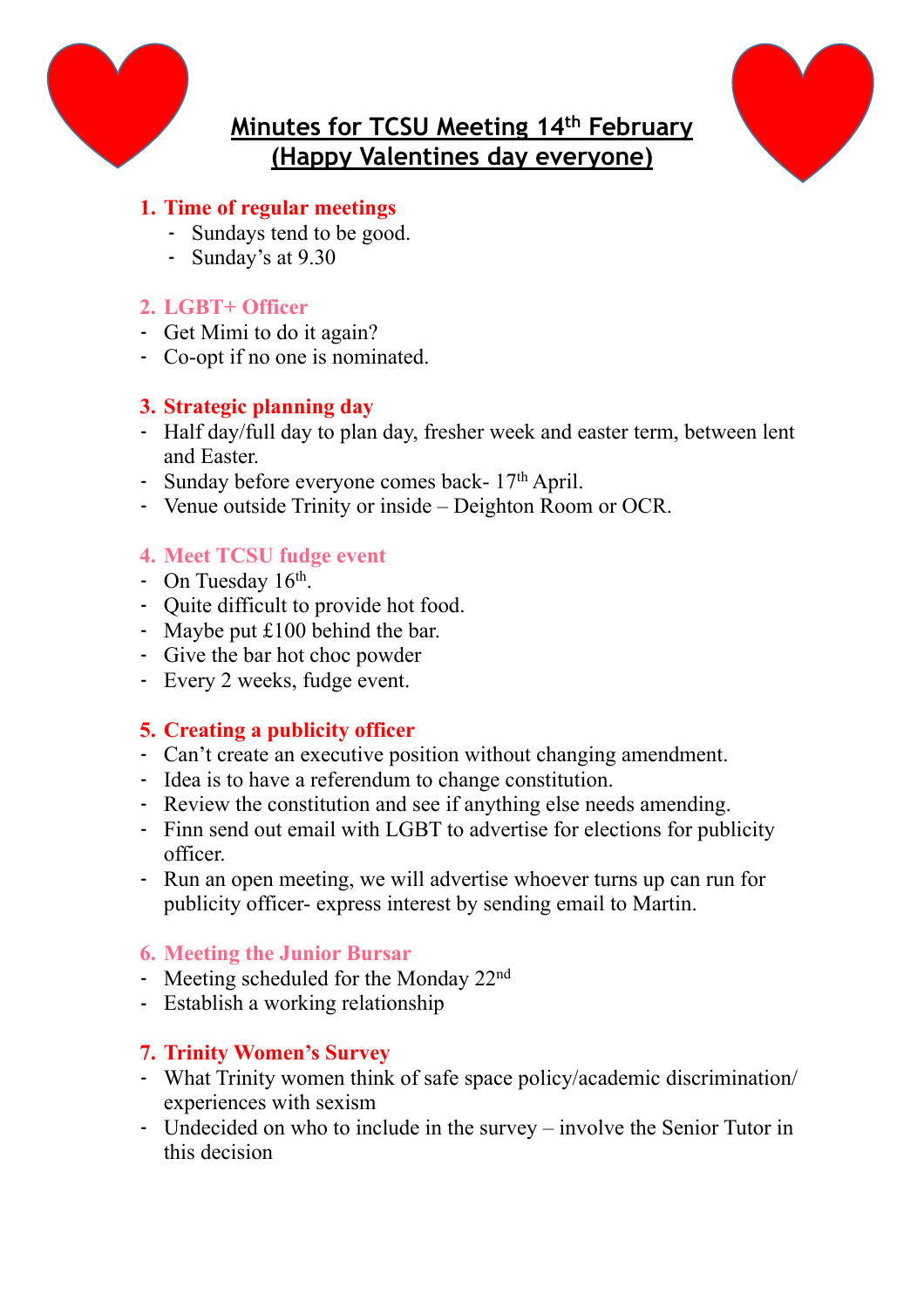

# **Minutes for TCSU Meeting 14th February (Happy Valentines day everyone)**



# **1. Time of regular meetings**

- Sundays tend to be good.
- Sunday's at 9.30

# **2. LGBT+ Officer**

- Get Mimi to do it again?
- Co-opt if no one is nominated.

# **3. Strategic planning day**

- Half day/full day to plan day, fresher week and easter term, between lent and Easter.
- Sunday before everyone comes back- 17<sup>th</sup> April.
- Venue outside Trinity or inside Deighton Room or OCR.

# **4. Meet TCSU fudge event**

- On Tuesday 16<sup>th</sup>.
- Quite difficult to provide hot food.
- Maybe put £100 behind the bar.
- Give the bar hot choc powder
- Every 2 weeks, fudge event.

# **5. Creating a publicity officer**

- Can't create an executive position without changing amendment.
- Idea is to have a referendum to change constitution.
- Review the constitution and see if anything else needs amending.
- Finn send out email with LGBT to advertise for elections for publicity officer.
- Run an open meeting, we will advertise whoever turns up can run for publicity officer- express interest by sending email to Martin.

# **6. Meeting the Junior Bursar**

- Meeting scheduled for the Monday 22nd
- Establish a working relationship

# **7. Trinity Women's Survey**

- What Trinity women think of safe space policy/academic discrimination/ experiences with sexism
- Undecided on who to include in the survey involve the Senior Tutor in this decision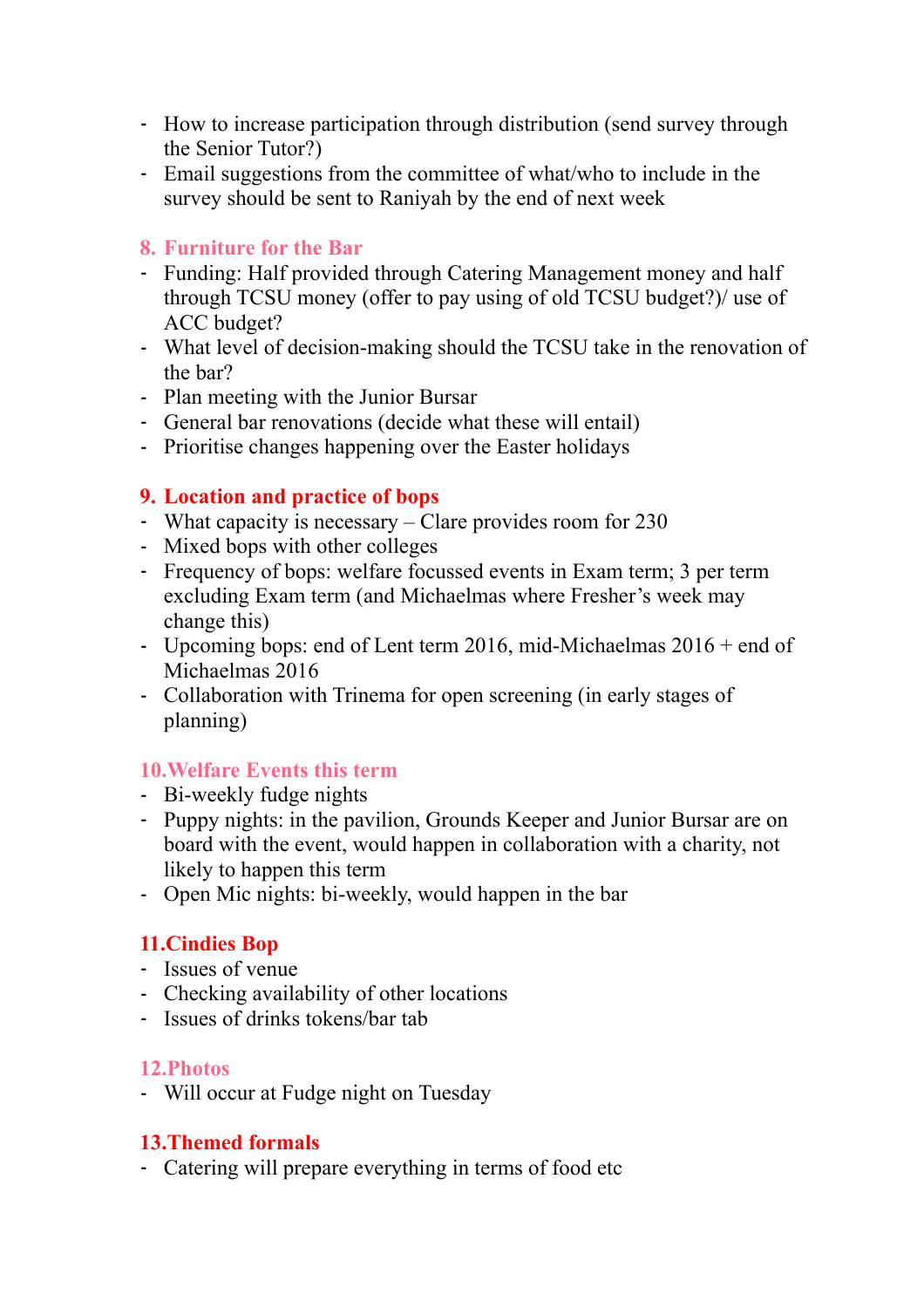- How to increase participation through distribution (send survey through the Senior Tutor?)
- Email suggestions from the committee of what/who to include in the survey should be sent to Raniyah by the end of next week

#### **8. Furniture for the Bar**

- Funding: Half provided through Catering Management money and half through TCSU money (offer to pay using of old TCSU budget?)/ use of ACC budget?
- What level of decision-making should the TCSU take in the renovation of the bar?
- Plan meeting with the Junior Bursar
- General bar renovations (decide what these will entail)
- Prioritise changes happening over the Easter holidays

#### **9. Location and practice of bops**

- What capacity is necessary Clare provides room for 230
- Mixed bops with other colleges
- Frequency of bops: welfare focussed events in Exam term; 3 per term excluding Exam term (and Michaelmas where Fresher's week may change this)
- Upcoming bops: end of Lent term 2016, mid-Michaelmas 2016 + end of Michaelmas 2016
- Collaboration with Trinema for open screening (in early stages of planning)

# **10.Welfare Events this term**

- Bi-weekly fudge nights
- Puppy nights: in the pavilion, Grounds Keeper and Junior Bursar are on board with the event, would happen in collaboration with a charity, not likely to happen this term
- Open Mic nights: bi-weekly, would happen in the bar

# **11.Cindies Bop**

- Issues of venue
- Checking availability of other locations
- Issues of drinks tokens/bar tab

#### **12.Photos**

- Will occur at Fudge night on Tuesday

# **13.Themed formals**

- Catering will prepare everything in terms of food etc